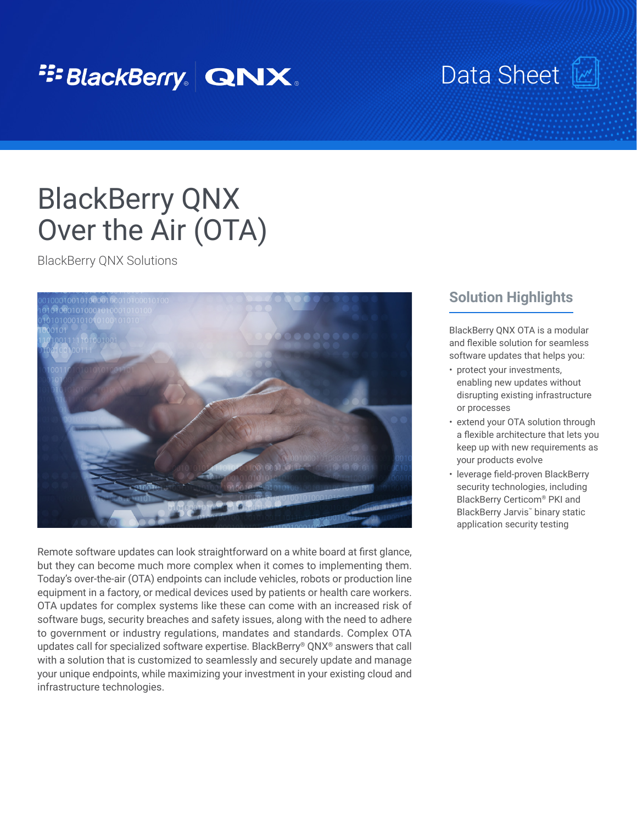## <sup>2</sup><sup>2</sup>BlackBerry. QNX.

# Data Sheet\_[

# BlackBerry QNX Over the Air (OTA)

BlackBerry QNX Solutions



Remote software updates can look straightforward on a white board at first glance, but they can become much more complex when it comes to implementing them. Today's over-the-air (OTA) endpoints can include vehicles, robots or production line equipment in a factory, or medical devices used by patients or health care workers. OTA updates for complex systems like these can come with an increased risk of software bugs, security breaches and safety issues, along with the need to adhere to government or industry regulations, mandates and standards. Complex OTA updates call for specialized software expertise. BlackBerry® QNX® answers that call with a solution that is customized to seamlessly and securely update and manage your unique endpoints, while maximizing your investment in your existing cloud and infrastructure technologies.

#### **Solution Highlights**

BlackBerry QNX OTA is a modular and flexible solution for seamless software updates that helps you:

- protect your investments, enabling new updates without disrupting existing infrastructure or processes
- extend your OTA solution through a flexible architecture that lets you keep up with new requirements as your products evolve
- leverage field-proven BlackBerry security technologies, including BlackBerry Certicom® PKI and BlackBerry Jarvis™ binary static application security testing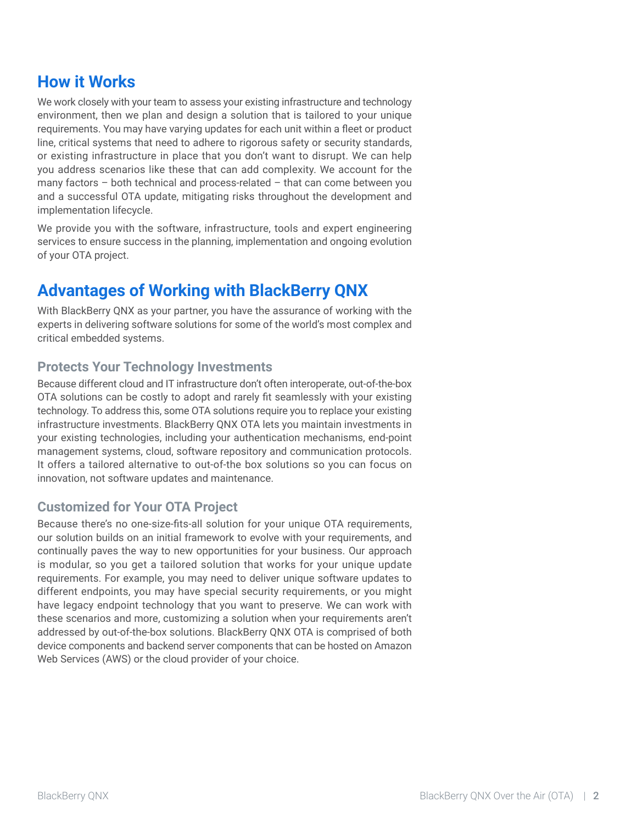### **How it Works**

We work closely with your team to assess your existing infrastructure and technology environment, then we plan and design a solution that is tailored to your unique requirements. You may have varying updates for each unit within a fleet or product line, critical systems that need to adhere to rigorous safety or security standards, or existing infrastructure in place that you don't want to disrupt. We can help you address scenarios like these that can add complexity. We account for the many factors – both technical and process-related – that can come between you and a successful OTA update, mitigating risks throughout the development and implementation lifecycle.

We provide you with the software, infrastructure, tools and expert engineering services to ensure success in the planning, implementation and ongoing evolution of your OTA project.

### **Advantages of Working with BlackBerry QNX**

With BlackBerry QNX as your partner, you have the assurance of working with the experts in delivering software solutions for some of the world's most complex and critical embedded systems.

#### **Protects Your Technology Investments**

Because different cloud and IT infrastructure don't often interoperate, out-of-the-box OTA solutions can be costly to adopt and rarely fit seamlessly with your existing technology. To address this, some OTA solutions require you to replace your existing infrastructure investments. BlackBerry QNX OTA lets you maintain investments in your existing technologies, including your authentication mechanisms, end-point management systems, cloud, software repository and communication protocols. It offers a tailored alternative to out-of-the box solutions so you can focus on innovation, not software updates and maintenance.

#### **Customized for Your OTA Project**

Because there's no one-size-fits-all solution for your unique OTA requirements, our solution builds on an initial framework to evolve with your requirements, and continually paves the way to new opportunities for your business. Our approach is modular, so you get a tailored solution that works for your unique update requirements. For example, you may need to deliver unique software updates to different endpoints, you may have special security requirements, or you might have legacy endpoint technology that you want to preserve. We can work with these scenarios and more, customizing a solution when your requirements aren't addressed by out-of-the-box solutions. BlackBerry QNX OTA is comprised of both device components and backend server components that can be hosted on Amazon Web Services (AWS) or the cloud provider of your choice.